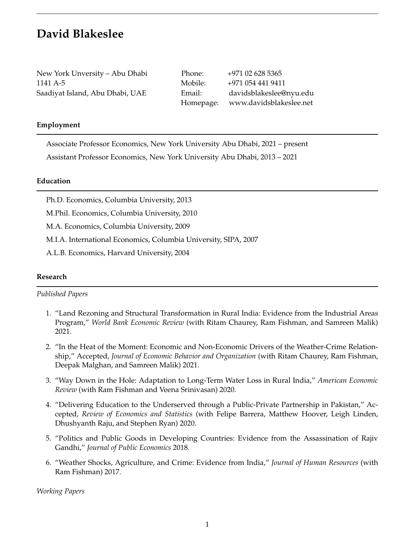# **David Blakeslee**

New York Unversity – Abu Dhabi Phone: +971 02 628 5365 1141 A-5 Mobile: +971 054 441 9411

Saadiyat Island, Abu Dhabi, UAE Email: davidsblakeslee@nyu.edu Homepage: www.davidsblakeslee.net

### **Employment**

Associate Professor Economics, New York University Abu Dhabi, 2021 – present Assistant Professor Economics, New York University Abu Dhabi, 2013 – 2021

#### **Education**

Ph.D. Economics, Columbia University, 2013

M.Phil. Economics, Columbia University, 2010

M.A. Economics, Columbia University, 2009

M.I.A. International Economics, Columbia University, SIPA, 2007

A.L.B. Economics, Harvard University, 2004

#### **Research**

*Published Papers*

- 1. "Land Rezoning and Structural Transformation in Rural India: Evidence from the Industrial Areas Program," *World Bank Economic Review* (with Ritam Chaurey, Ram Fishman, and Samreen Malik) 2021.
- 2. "In the Heat of the Moment: Economic and Non-Economic Drivers of the Weather-Crime Relationship," Accepted, *Journal of Economic Behavior and Organization* (with Ritam Chaurey, Ram Fishman, Deepak Malghan, and Samreen Malik) 2021.
- 3. "Way Down in the Hole: Adaptation to Long-Term Water Loss in Rural India," *American Economic Review* (with Ram Fishman and Veena Srinivasan) 2020.
- 4. "Delivering Education to the Underserved through a Public-Private Partnership in Pakistan," Accepted, *Review of Economics and Statistics* (with Felipe Barrera, Matthew Hoover, Leigh Linden, Dhushyanth Raju, and Stephen Ryan) 2020.
- 5. "Politics and Public Goods in Developing Countries: Evidence from the Assassination of Rajiv Gandhi," *Journal of Public Economics* 2018.
- 6. "Weather Shocks, Agriculture, and Crime: Evidence from India," *Journal of Human Resources* (with Ram Fishman) 2017.

*Working Papers*